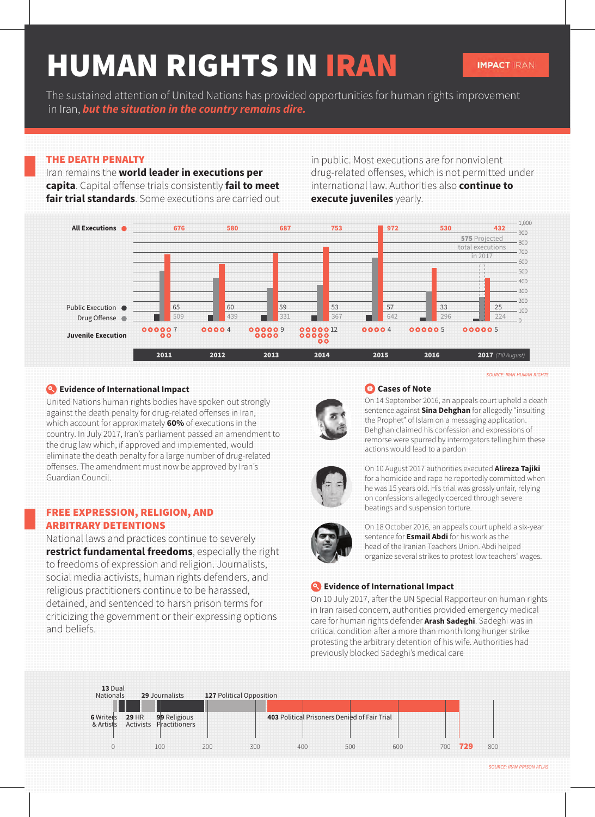# HUMAN RIGHTS IN IRAN

The sustained attention of United Nations has provided opportunities for human rights improvement in Iran, *but the situation in the country remains dire.*

# THE DEATH PENALTY

Iran remains the **world leader in executions per capita**. Capital offense trials consistently **fail to meet fair trial standards**. Some executions are carried out in public. Most executions are for nonviolent drug-related offenses, which is not permitted under international law. Authorities also **continue to execute juveniles** yearly.



# **Evidence of International Impact**

United Nations human rights bodies have spoken out strongly against the death penalty for drug-related offenses in Iran, which account for approximately **60%** of executions in the country. In July 2017, Iran's parliament passed an amendment to the drug law which, if approved and implemented, would eliminate the death penalty for a large number of drug-related offenses. The amendment must now be approved by Iran's Guardian Council.

# FREE EXPRESSION, RELIGION, AND ARBITRARY DETENTIONS

National laws and practices continue to severely **restrict fundamental freedoms**, especially the right to freedoms of expression and religion. Journalists, social media activists, human rights defenders, and religious practitioners continue to be harassed, detained, and sentenced to harsh prison terms for criticizing the government or their expressing options and beliefs.

#### **Cases of Note**

On 14 September 2016, an appeals court upheld a death sentence against **Sina Dehghan** for allegedly "insulting the Prophet" of Islam on a messaging application. Dehghan claimed his confession and expressions of remorse were spurred by interrogators telling him these actions would lead to a pardon



On 10 August 2017 authorities executed **Alireza Tajiki** for a homicide and rape he reportedly committed when he was 15 years old. His trial was grossly unfair, relying on confessions allegedly coerced through severe beatings and suspension torture.



On 18 October 2016, an appeals court upheld a six-year sentence for **Esmail Abdi** for his work as the head of the Iranian Teachers Union. Abdi helped organize several strikes to protest low teachers' wages.

# **Evidence of International Impact**

On 10 July 2017, after the UN Special Rapporteur on human rights in Iran raised concern, authorities provided emergency medical care for human rights defender **Arash Sadeghi**. Sadeghi was in critical condition after a more than month long hunger strike protesting the arbitrary detention of his wife. Authorities had previously blocked Sadeghi's medical care